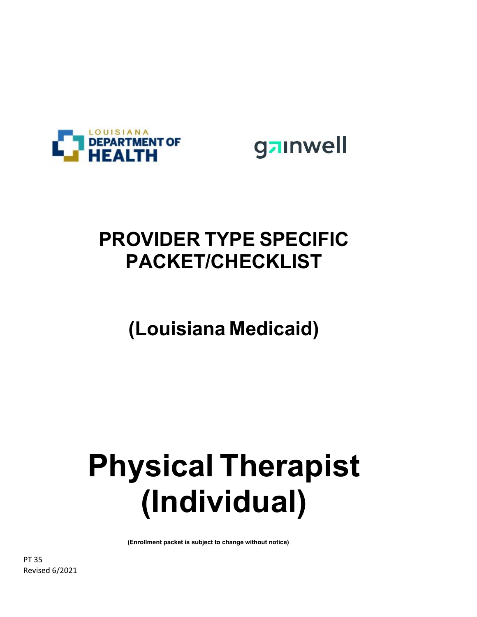



## **PROVIDER TYPE SPECIFIC PACKET/CHECKLIST**

# **(Louisiana Medicaid)**

# **Physical Therapist (Individual)**

**(Enrollment packet is subject to change without notice)**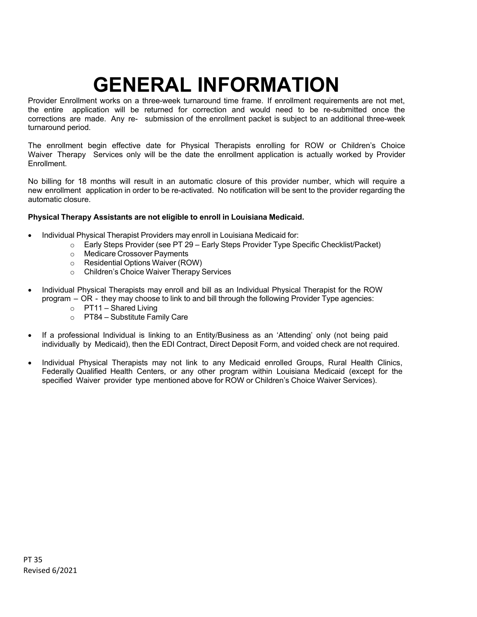# **GENERAL INFORMATION**

Provider Enrollment works on a three-week turnaround time frame. If enrollment requirements are not met, the entire application will be returned for correction and would need to be re-submitted once the corrections are made. Any re- submission of the enrollment packet is subject to an additional three-week turnaround period.

The enrollment begin effective date for Physical Therapists enrolling for ROW or Children's Choice Waiver Therapy Services only will be the date the enrollment application is actually worked by Provider **Enrollment** 

No billing for 18 months will result in an automatic closure of this provider number, which will require a new enrollment application in order to be re-activated. No notification will be sent to the provider regarding the automatic closure.

#### **Physical Therapy Assistants are not eligible to enroll in Louisiana Medicaid.**

- Individual Physical Therapist Providers may enroll in Louisiana Medicaid for:
	- o Early Steps Provider (see PT 29 Early Steps Provider Type Specific Checklist/Packet)
	- o Medicare Crossover Payments
	- o Residential Options Waiver (ROW)
	- o Children's Choice Waiver Therapy Services
- Individual Physical Therapists may enroll and bill as an Individual Physical Therapist for the ROW program – OR - they may choose to link to and bill through the following Provider Type agencies:
	- $\circ$  PT11 Shared Living
	- o PT84 Substitute Family Care
- If a professional Individual is linking to an Entity/Business as an 'Attending' only (not being paid individually by Medicaid), then the EDI Contract, Direct Deposit Form, and voided check are not required.
- Individual Physical Therapists may not link to any Medicaid enrolled Groups, Rural Health Clinics, Federally Qualified Health Centers, or any other program within Louisiana Medicaid (except for the specified Waiver provider type mentioned above for ROW or Children's Choice Waiver Services).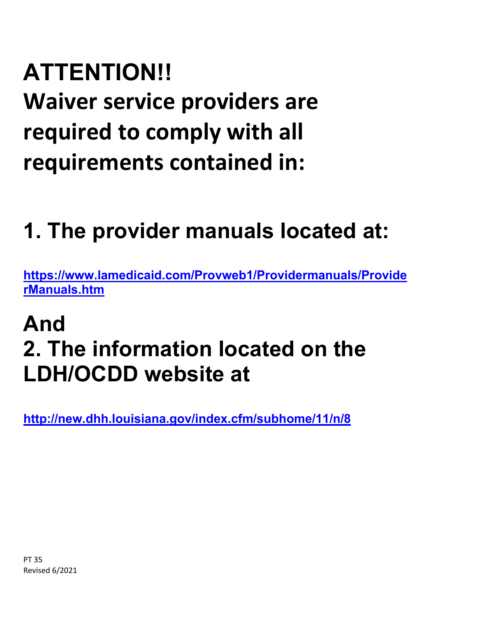# **ATTENTION!! Waiver service providers are required to comply with all requirements contained in:**

# **1. The provider manuals located at:**

**[https://www.lamedicaid.com/Provweb1/Providermanuals/Provide](https://www.lamedicaid.com/Provweb1/Providermanuals/ProviderManuals.htm) [rManuals.htm](https://www.lamedicaid.com/Provweb1/Providermanuals/ProviderManuals.htm)**

# **And 2. The information located on the LDH/OCDD website at**

**<http://new.dhh.louisiana.gov/index.cfm/subhome/11/n/8>**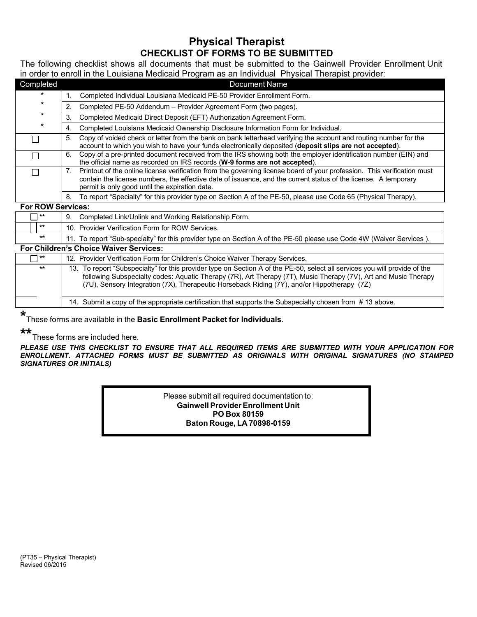### **Physical Therapist CHECKLIST OF FORMS TO BE SUBMITTED**

The following checklist shows all documents that must be submitted to the Gainwell Provider Enrollment Unit in order to enroll in the Louisiana Medicaid Program as an Individual Physical Therapist provider:

| Completed                |             | <b>Document Name</b>                                                                                                                                                                                                                                                                         |
|--------------------------|-------------|----------------------------------------------------------------------------------------------------------------------------------------------------------------------------------------------------------------------------------------------------------------------------------------------|
|                          |             | Completed Individual Louisiana Medicaid PE-50 Provider Enrollment Form.                                                                                                                                                                                                                      |
| $\star$                  | 2.          | Completed PE-50 Addendum - Provider Agreement Form (two pages).                                                                                                                                                                                                                              |
| $\ast$                   | 3.          | Completed Medicaid Direct Deposit (EFT) Authorization Agreement Form.                                                                                                                                                                                                                        |
| $\ast$                   | 4.          | Completed Louisiana Medicaid Ownership Disclosure Information Form for Individual.                                                                                                                                                                                                           |
|                          | 5.          | Copy of voided check or letter from the bank on bank letterhead verifying the account and routing number for the<br>account to which you wish to have your funds electronically deposited (deposit slips are not accepted).                                                                  |
|                          | 6.          | Copy of a pre-printed document received from the IRS showing both the employer identification number (EIN) and<br>the official name as recorded on IRS records (W-9 forms are not accepted).                                                                                                 |
|                          | $7_{\cdot}$ | Printout of the online license verification from the governing license board of your profession. This verification must<br>contain the license numbers, the effective date of issuance, and the current status of the license. A temporary<br>permit is only good until the expiration date. |
|                          | 8.          | To report "Specialty" for this provider type on Section A of the PE-50, please use Code 65 (Physical Therapy).                                                                                                                                                                               |
| <b>For ROW Services:</b> |             |                                                                                                                                                                                                                                                                                              |
| $***$                    | 9.          | Completed Link/Unlink and Working Relationship Form.                                                                                                                                                                                                                                         |
| $\star\star$             |             | 10. Provider Verification Form for ROW Services.                                                                                                                                                                                                                                             |

#### **\*\*** 11. To report "Sub-specialty" for this provider type on Section A of the PE-50 please use Code 4W (Waiver Services ).

#### **For Children's Choice Waiver Services:**

| א∗ ך  | 12. Provider Verification Form for Children's Choice Waiver Therapy Services.                                                                                                                                                                                                                                                                |
|-------|----------------------------------------------------------------------------------------------------------------------------------------------------------------------------------------------------------------------------------------------------------------------------------------------------------------------------------------------|
| $***$ | 13. To report "Subspecialty" for this provider type on Section A of the PE-50, select all services you will provide of the<br>following Subspecialty codes: Aquatic Therapy (7R), Art Therapy (7T), Music Therapy (7V), Art and Music Therapy<br>(7U), Sensory Integration (7X), Therapeutic Horseback Riding (7Y), and/or Hippotherapy (7Z) |
|       | 14. Submit a copy of the appropriate certification that supports the Subspecialty chosen from #13 above.                                                                                                                                                                                                                                     |

**\*** These forms are available in the **Basic Enrollment Packet for Individuals**.

## **\*\*** These forms are included here.

*PLEASE USE THIS CHECKLIST TO ENSURE THAT ALL REQUIRED ITEMS ARE SUBMITTED WITH YOUR APPLICATION FOR ENROLLMENT. ATTACHED FORMS MUST BE SUBMITTED AS ORIGINALS WITH ORIGINAL SIGNATURES (NO STAMPED SIGNATURES OR INITIALS)*

> Please submit all required documentation to: **Gainwell ProviderEnrollment Unit PO Box 80159 Baton Rouge, LA 70898-0159**

(PT35 – Physical Therapist) Revised 06/2015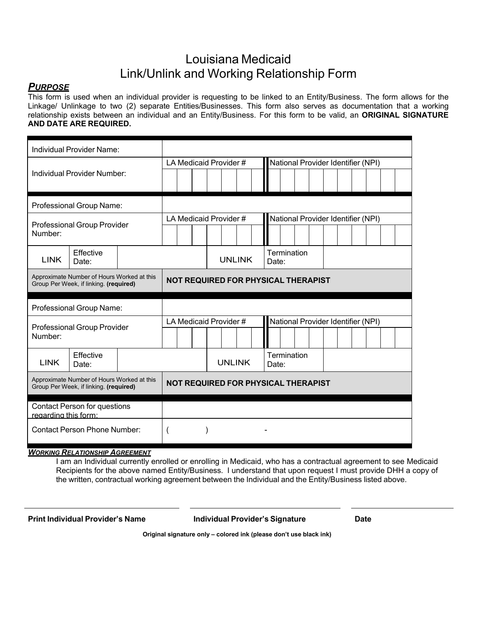## Louisiana Medicaid Link/Unlink and Working Relationship Form

#### *PURPOSE*

This form is used when an individual provider is requesting to be linked to an Entity/Business. The form allows for the Linkage/ Unlinkage to two (2) separate Entities/Businesses. This form also serves as documentation that a working relationship exists between an individual and an Entity/Business. For this form to be valid, an **ORIGINAL SIGNATURE AND DATE ARE REQUIRED.**

| Individual Provider Name:                                                            |                                                                                      |  |  |  |  |  |                        |                                     |                                    |             |  |  |  |  |  |                                    |  |  |  |
|--------------------------------------------------------------------------------------|--------------------------------------------------------------------------------------|--|--|--|--|--|------------------------|-------------------------------------|------------------------------------|-------------|--|--|--|--|--|------------------------------------|--|--|--|
|                                                                                      |                                                                                      |  |  |  |  |  | LA Medicaid Provider # |                                     | National Provider Identifier (NPI) |             |  |  |  |  |  |                                    |  |  |  |
| Individual Provider Number:                                                          |                                                                                      |  |  |  |  |  |                        |                                     |                                    |             |  |  |  |  |  |                                    |  |  |  |
| Professional Group Name:                                                             |                                                                                      |  |  |  |  |  |                        |                                     |                                    |             |  |  |  |  |  |                                    |  |  |  |
| <b>Professional Group Provider</b><br>Number:                                        |                                                                                      |  |  |  |  |  | LA Medicaid Provider # |                                     |                                    |             |  |  |  |  |  | National Provider Identifier (NPI) |  |  |  |
| <b>LINK</b>                                                                          | Effective<br>Date:                                                                   |  |  |  |  |  |                        | <b>UNLINK</b>                       | Date:                              | Termination |  |  |  |  |  |                                    |  |  |  |
| Approximate Number of Hours Worked at this<br>Group Per Week, if linking. (required) |                                                                                      |  |  |  |  |  |                        | NOT REQUIRED FOR PHYSICAL THERAPIST |                                    |             |  |  |  |  |  |                                    |  |  |  |
|                                                                                      |                                                                                      |  |  |  |  |  |                        |                                     |                                    |             |  |  |  |  |  |                                    |  |  |  |
|                                                                                      | Professional Group Name:                                                             |  |  |  |  |  |                        |                                     |                                    |             |  |  |  |  |  |                                    |  |  |  |
|                                                                                      |                                                                                      |  |  |  |  |  | LA Medicaid Provider # |                                     |                                    |             |  |  |  |  |  | National Provider Identifier (NPI) |  |  |  |
| Number:                                                                              | <b>Professional Group Provider</b>                                                   |  |  |  |  |  |                        |                                     |                                    |             |  |  |  |  |  |                                    |  |  |  |
| <b>LINK</b>                                                                          | Effective<br>Date:                                                                   |  |  |  |  |  | <b>UNLINK</b>          |                                     | Date:                              | Termination |  |  |  |  |  |                                    |  |  |  |
|                                                                                      | Approximate Number of Hours Worked at this<br>Group Per Week, if linking. (required) |  |  |  |  |  |                        | NOT REQUIRED FOR PHYSICAL THERAPIST |                                    |             |  |  |  |  |  |                                    |  |  |  |
| regarding this form:                                                                 | <b>Contact Person for questions</b>                                                  |  |  |  |  |  |                        |                                     |                                    |             |  |  |  |  |  |                                    |  |  |  |

*WORKING RELATIONSHIP AGREEMENT*

I am an Individual currently enrolled or enrolling in Medicaid, who has a contractual agreement to see Medicaid Recipients for the above named Entity/Business. I understand that upon request I must provide DHH a copy of the written, contractual working agreement between the Individual and the Entity/Business listed above.

**Print Individual Provider's Name Individual Provider's Signature Date**

**Original signature only – colored ink (please don't use black ink)**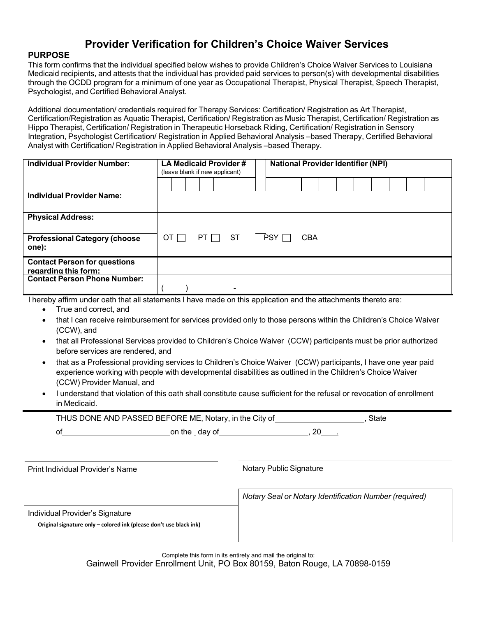## **Provider Verification for Children's Choice Waiver Services**

#### **PURPOSE**

This form confirms that the individual specified below wishes to provide Children's Choice Waiver Services to Louisiana Medicaid recipients, and attests that the individual has provided paid services to person(s) with developmental disabilities through the OCDD program for a minimum of one year as Occupational Therapist, Physical Therapist, Speech Therapist, Psychologist, and Certified Behavioral Analyst.

Additional documentation/ credentials required for Therapy Services: Certification/ Registration as Art Therapist, Certification/Registration as Aquatic Therapist, Certification/ Registration as Music Therapist, Certification/ Registration as Hippo Therapist, Certification/ Registration in Therapeutic Horseback Riding, Certification/ Registration in Sensory Integration, Psychologist Certification/ Registration in Applied Behavioral Analysis –based Therapy, Certified Behavioral Analyst with Certification/ Registration in Applied Behavioral Analysis –based Therapy.

| Individual Provider Number:                                                                                     | LA Medicaid Provider #<br>(leave blank if new applicant) |  |  |        |  |    | <b>National Provider Identifier (NPI)</b> |       |  |            |  |  |  |  |  |  |  |
|-----------------------------------------------------------------------------------------------------------------|----------------------------------------------------------|--|--|--------|--|----|-------------------------------------------|-------|--|------------|--|--|--|--|--|--|--|
|                                                                                                                 |                                                          |  |  |        |  |    |                                           |       |  |            |  |  |  |  |  |  |  |
| <b>Individual Provider Name:</b>                                                                                |                                                          |  |  |        |  |    |                                           |       |  |            |  |  |  |  |  |  |  |
| <b>Physical Address:</b>                                                                                        |                                                          |  |  |        |  |    |                                           |       |  |            |  |  |  |  |  |  |  |
| <b>Professional Category (choose</b><br>one):                                                                   | OT I                                                     |  |  | PT I I |  | ST |                                           | PSY [ |  | <b>CBA</b> |  |  |  |  |  |  |  |
| <b>Contact Person for questions</b><br>regarding this form:                                                     |                                                          |  |  |        |  |    |                                           |       |  |            |  |  |  |  |  |  |  |
| <b>Contact Person Phone Number:</b>                                                                             |                                                          |  |  |        |  |    |                                           |       |  |            |  |  |  |  |  |  |  |
| I hereby affirm under oath that all statements I have made on this application and the attachments thereto are: |                                                          |  |  |        |  |    |                                           |       |  |            |  |  |  |  |  |  |  |

- True and correct, and
- that I can receive reimbursement for services provided only to those persons within the Children's Choice Waiver (CCW), and
- that all Professional Services provided to Children's Choice Waiver (CCW) participants must be prior authorized before services are rendered, and
- that as a Professional providing services to Children's Choice Waiver (CCW) participants, I have one year paid experience working with people with developmental disabilities as outlined in the Children's Choice Waiver (CCW) Provider Manual, and
- I understand that violation of this oath shall constitute cause sufficient for the refusal or revocation of enrollment in Medicaid.

THUS DONE AND PASSED BEFORE ME, Notary, in the City of  $\blacksquare$ , State of on the day of the state on the state of  $\sim$ , 20  $\sim$ 

Print Individual Provider's Name Notary Public Signature Notary Public Signature

*Notary Seal or Notary Identification Number (required)*

Individual Provider's Signature

**Original signature only – colored ink (please don't use black ink)**

Complete this form in its entirety and mail the original to: Gainwell Provider Enrollment Unit, PO Box 80159, Baton Rouge, LA 70898-0159